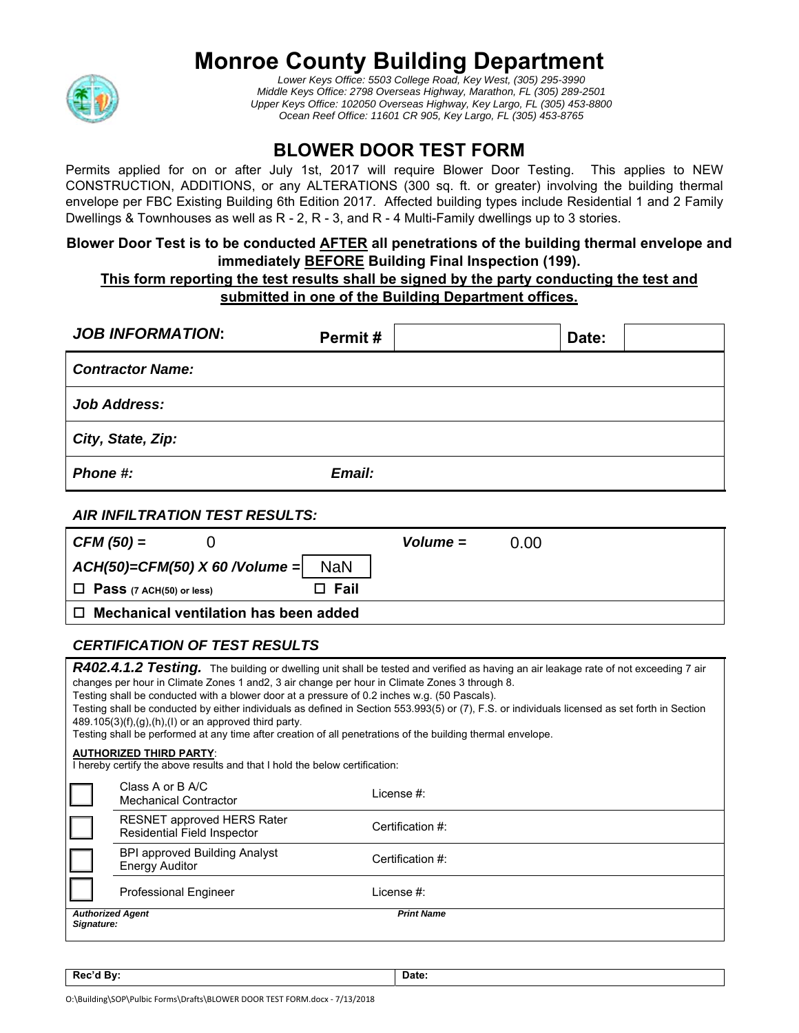# **Monroe County Building Department**



*Lower Keys Office: 5503 College Road, Key West, (305) 295-3990 Middle Keys Office: 2798 Overseas Highway, Marathon, FL (305) 289-2501 Upper Keys Office: 102050 Overseas Highway, Key Largo, FL (305) 453-8800 Ocean Reef Office: 11601 CR 905, Key Largo, FL (305) 453-8765* 

## **BLOWER DOOR TEST FORM**

Permits applied for on or after July 1st, 2017 will require Blower Door Testing. This applies to NEW CONSTRUCTION, ADDITIONS, or any ALTERATIONS (300 sq. ft. or greater) involving the building thermal envelope per FBC Existing Building 6th Edition 2017. Affected building types include Residential 1 and 2 Family Dwellings & Townhouses as well as R - 2, R - 3, and R - 4 Multi-Family dwellings up to 3 stories.

#### **Blower Door Test is to be conducted AFTER all penetrations of the building thermal envelope and immediately BEFORE Building Final Inspection (199).**

### **This form reporting the test results shall be signed by the party conducting the test and submitted in one of the Building Department offices.**

| <b>JOB INFORMATION:</b><br>Permit#                                                                                                                                                                                                                                                                                                                                                                                                                                                                                                                                                                                                                                                                | Date:              |  |
|---------------------------------------------------------------------------------------------------------------------------------------------------------------------------------------------------------------------------------------------------------------------------------------------------------------------------------------------------------------------------------------------------------------------------------------------------------------------------------------------------------------------------------------------------------------------------------------------------------------------------------------------------------------------------------------------------|--------------------|--|
| <b>Contractor Name:</b>                                                                                                                                                                                                                                                                                                                                                                                                                                                                                                                                                                                                                                                                           |                    |  |
| <b>Job Address:</b>                                                                                                                                                                                                                                                                                                                                                                                                                                                                                                                                                                                                                                                                               |                    |  |
| City, State, Zip:                                                                                                                                                                                                                                                                                                                                                                                                                                                                                                                                                                                                                                                                                 |                    |  |
| Email:<br>Phone #:                                                                                                                                                                                                                                                                                                                                                                                                                                                                                                                                                                                                                                                                                |                    |  |
| <b>AIR INFILTRATION TEST RESULTS:</b>                                                                                                                                                                                                                                                                                                                                                                                                                                                                                                                                                                                                                                                             |                    |  |
| $CFM(50) =$<br>0                                                                                                                                                                                                                                                                                                                                                                                                                                                                                                                                                                                                                                                                                  | 0.00<br>$Volume =$ |  |
| <b>NaN</b><br>$ACH(50) = CFM(50) X 60 / Volume =$                                                                                                                                                                                                                                                                                                                                                                                                                                                                                                                                                                                                                                                 |                    |  |
| $\Box$ Fail<br>$\Box$ Pass (7 ACH(50) or less)                                                                                                                                                                                                                                                                                                                                                                                                                                                                                                                                                                                                                                                    |                    |  |
| $\Box$ Mechanical ventilation has been added                                                                                                                                                                                                                                                                                                                                                                                                                                                                                                                                                                                                                                                      |                    |  |
| <b>CERTIFICATION OF TEST RESULTS</b>                                                                                                                                                                                                                                                                                                                                                                                                                                                                                                                                                                                                                                                              |                    |  |
| R402.4.1.2 Testing. The building or dwelling unit shall be tested and verified as having an air leakage rate of not exceeding 7 air<br>changes per hour in Climate Zones 1 and 2, 3 air change per hour in Climate Zones 3 through 8.<br>Testing shall be conducted with a blower door at a pressure of 0.2 inches w.g. (50 Pascals).<br>Testing shall be conducted by either individuals as defined in Section 553.993(5) or (7), F.S. or individuals licensed as set forth in Section<br>489.105(3)(f),(g),(h),(l) or an approved third party.<br>Testing shall be performed at any time after creation of all penetrations of the building thermal envelope.<br><b>AUTHORIZED THIRD PARTY:</b> |                    |  |
| I hereby certify the above results and that I hold the below certification:                                                                                                                                                                                                                                                                                                                                                                                                                                                                                                                                                                                                                       |                    |  |
| Class A or B A/C<br>License #:<br><b>Mechanical Contractor</b>                                                                                                                                                                                                                                                                                                                                                                                                                                                                                                                                                                                                                                    |                    |  |
| <b>RESNET approved HERS Rater</b><br>Certification #:<br><b>Residential Field Inspector</b>                                                                                                                                                                                                                                                                                                                                                                                                                                                                                                                                                                                                       |                    |  |
| <b>BPI approved Building Analyst</b><br>Certification #:<br><b>Energy Auditor</b>                                                                                                                                                                                                                                                                                                                                                                                                                                                                                                                                                                                                                 |                    |  |
| <b>Professional Engineer</b><br>License $#$ :                                                                                                                                                                                                                                                                                                                                                                                                                                                                                                                                                                                                                                                     |                    |  |
| <b>Authorized Agent</b><br><b>Print Name</b><br>Signature:                                                                                                                                                                                                                                                                                                                                                                                                                                                                                                                                                                                                                                        |                    |  |

**Rec'd By:** Date: